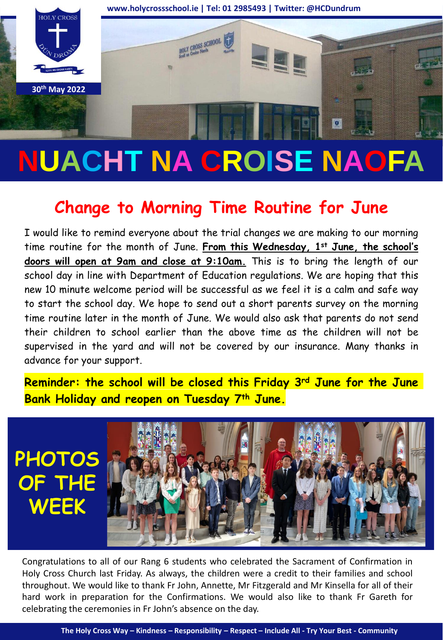

# **NUACHT NA CROISE NAOFA**

## **Change to Morning Time Routine for June**

I would like to remind everyone about the trial changes we are making to our morning time routine for the month of June. **From this Wednesday, 1st June, the school's doors will open at 9am and close at 9:10am.** This is to bring the length of our school day in line with Department of Education regulations. We are hoping that this new 10 minute welcome period will be successful as we feel it is a calm and safe way to start the school day. We hope to send out a short parents survey on the morning time routine later in the month of June. We would also ask that parents do not send their children to school earlier than the above time as the children will not be supervised in the yard and will not be covered by our insurance. Many thanks in advance for your support.

**Reminder: the school will be closed this Friday 3rd June for the June Bank Holiday and reopen on Tuesday 7th June.**



Congratulations to all of our Rang 6 students who celebrated the Sacrament of Confirmation in Holy Cross Church last Friday. As always, the children were a credit to their families and school throughout. We would like to thank Fr John, Annette, Mr Fitzgerald and Mr Kinsella for all of their hard work in preparation for the Confirmations. We would also like to thank Fr Gareth for celebrating the ceremonies in Fr John's absence on the day.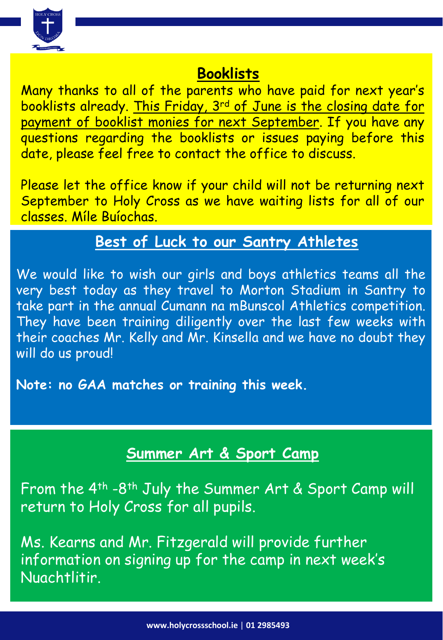

#### **Booklists**

Many thanks to all of the parents who have paid for next year's booklists already. This Friday, 3rd of June is the closing date for payment of booklist monies for next September. If you have any questions regarding the booklists or issues paying before this date, please feel free to contact the office to discuss.

Please let the office know if your child will not be returning next September to Holy Cross as we have waiting lists for all of our classes. Míle Buíochas.

## **Best of Luck to our Santry Athletes**

We would like to wish our girls and boys athletics teams all the very best today as they travel to Morton Stadium in Santry to take part in the annual Cumann na mBunscol Athletics competition. They have been training diligently over the last few weeks with their coaches Mr. Kelly and Mr. Kinsella and we have no doubt they will do us proud!

**Note: no GAA matches or training this week.**

## **Summer Art & Sport Camp**

From the 4th -8th July the Summer Art & Sport Camp will return to Holy Cross for all pupils.

Ms. Kearns and Mr. Fitzgerald will provide further information on signing up for the camp in next week's Nuachtlitir.